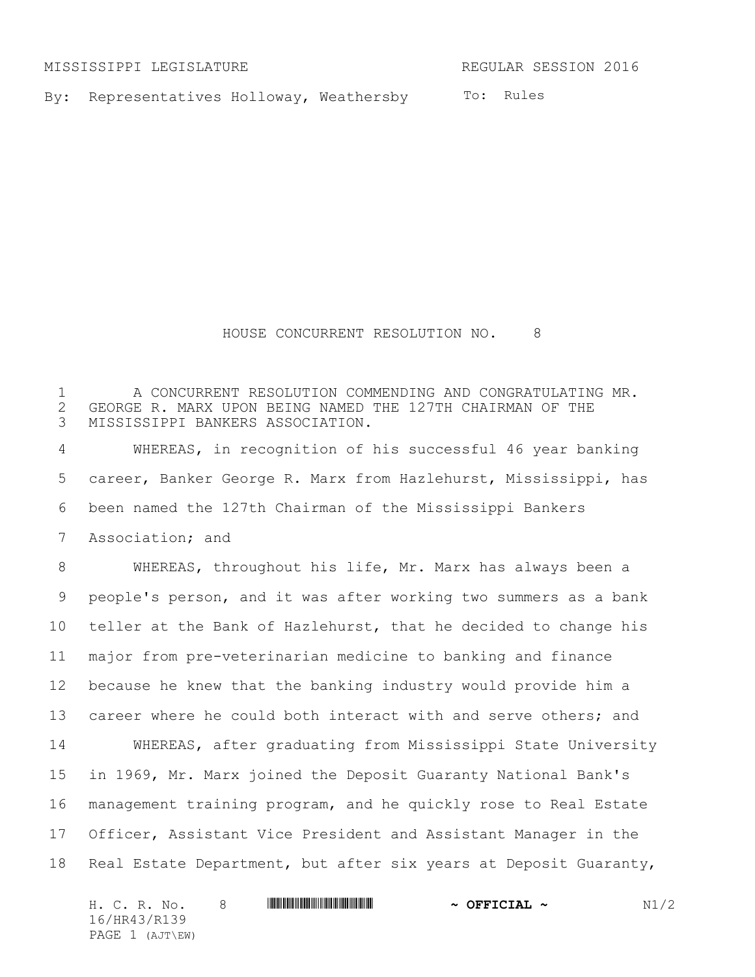MISSISSIPPI LEGISLATURE REGULAR SESSION 2016

By: Representatives Holloway, Weathersby

To: Rules

## HOUSE CONCURRENT RESOLUTION NO. 8

1 A CONCURRENT RESOLUTION COMMENDING AND CONGRATULATING MR. 2 GEORGE R. MARX UPON BEING NAMED THE 127TH CHAIRMAN OF THE 3 MISSISSIPPI BANKERS ASSOCIATION. MISSISSIPPI BANKERS ASSOCIATION.

 WHEREAS, in recognition of his successful 46 year banking career, Banker George R. Marx from Hazlehurst, Mississippi, has been named the 127th Chairman of the Mississippi Bankers Association; and

 WHEREAS, throughout his life, Mr. Marx has always been a people's person, and it was after working two summers as a bank teller at the Bank of Hazlehurst, that he decided to change his major from pre-veterinarian medicine to banking and finance because he knew that the banking industry would provide him a 13 career where he could both interact with and serve others; and

 WHEREAS, after graduating from Mississippi State University in 1969, Mr. Marx joined the Deposit Guaranty National Bank's management training program, and he quickly rose to Real Estate Officer, Assistant Vice President and Assistant Manager in the Real Estate Department, but after six years at Deposit Guaranty,

| H. C. R. No.    | <u> I III DI BI DI BI DI BI DI BI DI BI DI BI DI BI DI BI DI BI DI BI DI BI DI BI DI BI DI BI DI BI DI BI DI BI D</u> | $\sim$ OFFICIAL $\sim$ | N1/2 |
|-----------------|-----------------------------------------------------------------------------------------------------------------------|------------------------|------|
| 16/HR43/R139    |                                                                                                                       |                        |      |
| PAGE 1 (AJT\EW) |                                                                                                                       |                        |      |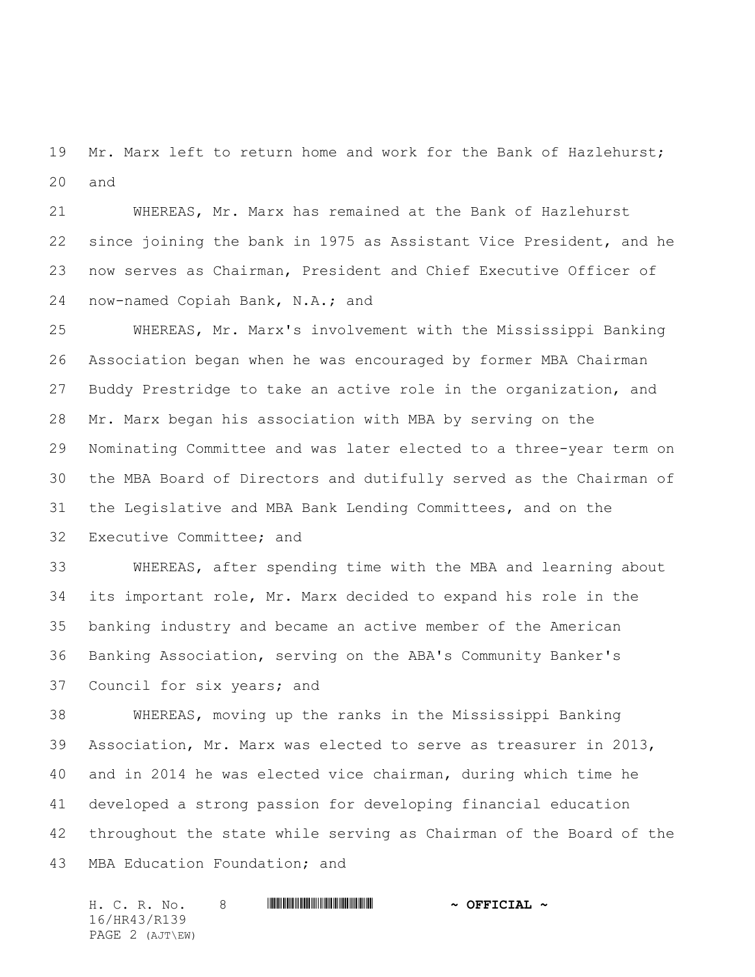19 Mr. Marx left to return home and work for the Bank of Hazlehurst; and

 WHEREAS, Mr. Marx has remained at the Bank of Hazlehurst since joining the bank in 1975 as Assistant Vice President, and he now serves as Chairman, President and Chief Executive Officer of now-named Copiah Bank, N.A.; and

 WHEREAS, Mr. Marx's involvement with the Mississippi Banking Association began when he was encouraged by former MBA Chairman Buddy Prestridge to take an active role in the organization, and Mr. Marx began his association with MBA by serving on the Nominating Committee and was later elected to a three-year term on the MBA Board of Directors and dutifully served as the Chairman of the Legislative and MBA Bank Lending Committees, and on the Executive Committee; and

 WHEREAS, after spending time with the MBA and learning about its important role, Mr. Marx decided to expand his role in the banking industry and became an active member of the American Banking Association, serving on the ABA's Community Banker's Council for six years; and

 WHEREAS, moving up the ranks in the Mississippi Banking Association, Mr. Marx was elected to serve as treasurer in 2013, and in 2014 he was elected vice chairman, during which time he developed a strong passion for developing financial education throughout the state while serving as Chairman of the Board of the MBA Education Foundation; and

H. C. R. No. 8 \*HR43/R139\* **~ OFFICIAL ~** 16/HR43/R139 PAGE 2 (AJT\EW)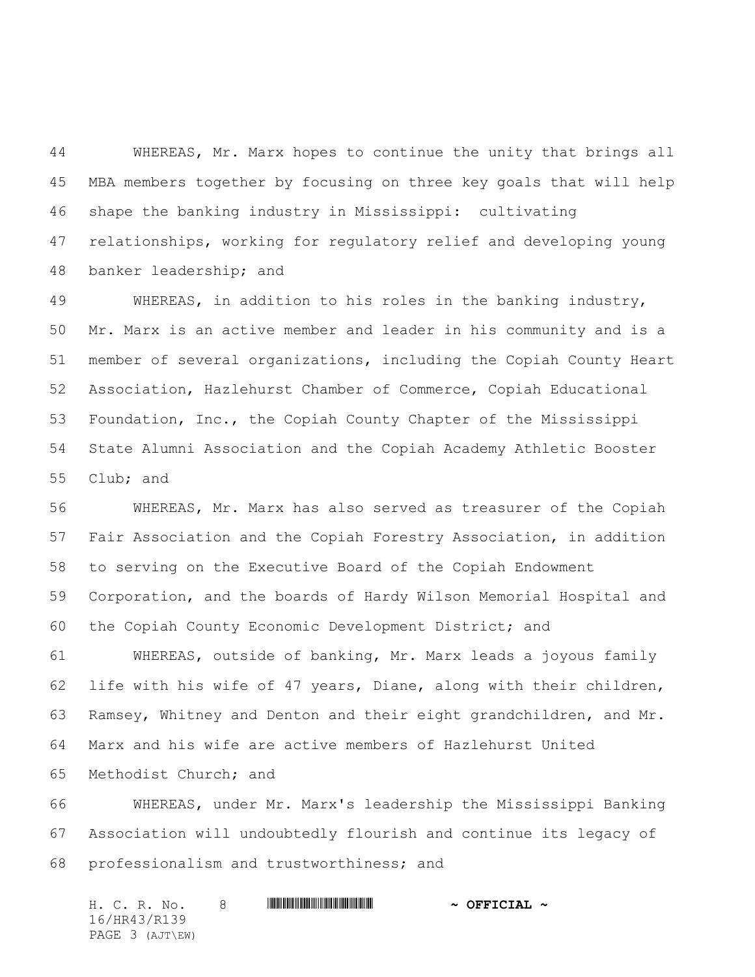WHEREAS, Mr. Marx hopes to continue the unity that brings all MBA members together by focusing on three key goals that will help shape the banking industry in Mississippi: cultivating relationships, working for regulatory relief and developing young banker leadership; and

 WHEREAS, in addition to his roles in the banking industry, Mr. Marx is an active member and leader in his community and is a member of several organizations, including the Copiah County Heart Association, Hazlehurst Chamber of Commerce, Copiah Educational Foundation, Inc., the Copiah County Chapter of the Mississippi State Alumni Association and the Copiah Academy Athletic Booster Club; and

 WHEREAS, Mr. Marx has also served as treasurer of the Copiah Fair Association and the Copiah Forestry Association, in addition to serving on the Executive Board of the Copiah Endowment Corporation, and the boards of Hardy Wilson Memorial Hospital and the Copiah County Economic Development District; and

 WHEREAS, outside of banking, Mr. Marx leads a joyous family life with his wife of 47 years, Diane, along with their children, Ramsey, Whitney and Denton and their eight grandchildren, and Mr. Marx and his wife are active members of Hazlehurst United Methodist Church; and

 WHEREAS, under Mr. Marx's leadership the Mississippi Banking Association will undoubtedly flourish and continue its legacy of professionalism and trustworthiness; and

H. C. R. No. 8 \*HR43/R139\* **~ OFFICIAL ~** 16/HR43/R139 PAGE 3 (AJT\EW)